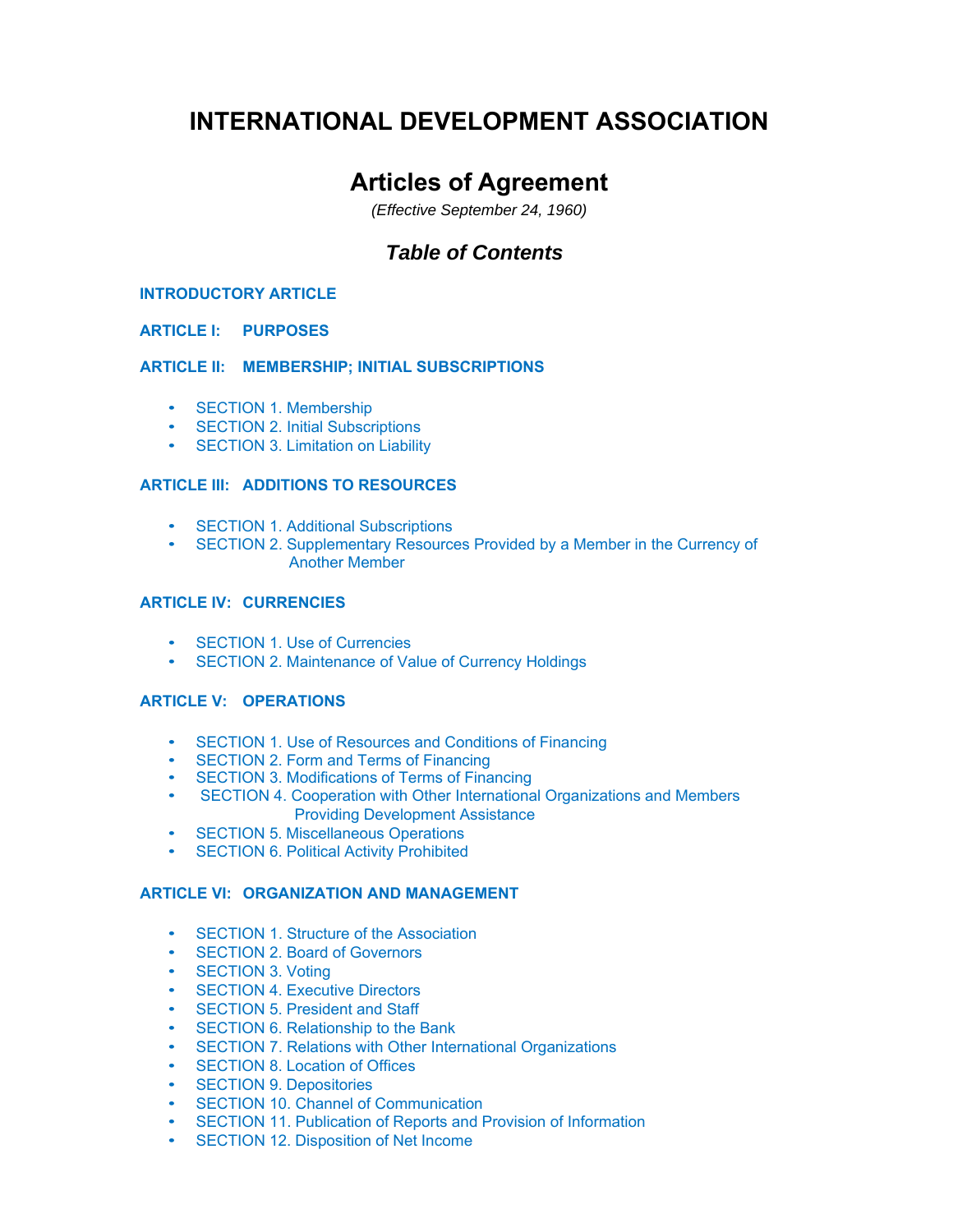# **INTERNATIONAL DEVELOPMENT ASSOCIATION**

# **Articles of Agreement**

*(Effective September 24, 1960)*

# *Table of Contents*

# **INTRODUCTORY ARTICLE**

**ARTICLE I: PURPOSES** 

# **ARTICLE II: MEMBERSHIP; INITIAL SUBSCRIPTIONS**

- SECTION 1. Membership
- SECTION 2. Initial Subscriptions
- SECTION 3. Limitation on Liability

# **ARTICLE III: ADDITIONS TO RESOURCES**

- SECTION 1. Additional Subscriptions
- SECTION 2. Supplementary Resources Provided by a Member in the Currency of Another Member

# **ARTICLE IV: CURRENCIES**

- SECTION 1. Use of Currencies
- SECTION 2. Maintenance of Value of Currency Holdings

# **ARTICLE V: OPERATIONS**

- SECTION 1. Use of Resources and Conditions of Financing
- SECTION 2. Form and Terms of Financing
- SECTION 3. Modifications of Terms of Financing
- SECTION 4. Cooperation with Other International Organizations and Members Providing Development Assistance
- SECTION 5. Miscellaneous Operations
- SECTION 6. Political Activity Prohibited

# **ARTICLE VI: ORGANIZATION AND MANAGEMENT**

- SECTION 1. Structure of the Association
- SECTION 2. Board of Governors
- SECTION 3. Voting
- SECTION 4. Executive Directors
- SECTION 5. President and Staff
- SECTION 6. Relationship to the Bank
- SECTION 7. Relations with Other International Organizations
- SECTION 8. Location of Offices
- SECTION 9. Depositories
- SECTION 10. Channel of Communication
- SECTION 11. Publication of Reports and Provision of Information
- SECTION 12. Disposition of Net Income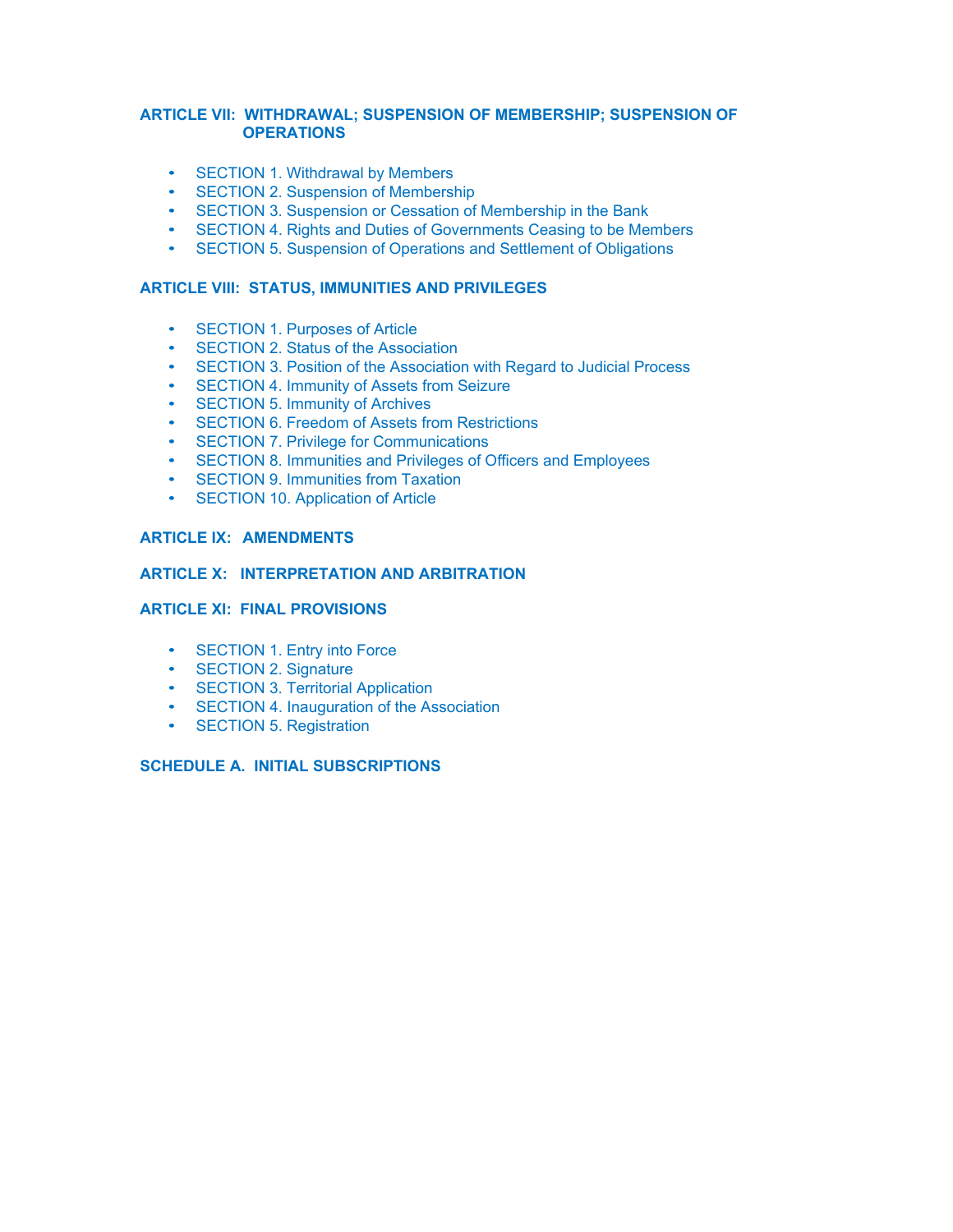# **ARTICLE VII: WITHDRAWAL; SUSPENSION OF MEMBERSHIP; SUSPENSION OF OPERATIONS**

- SECTION 1. Withdrawal by Members
- SECTION 2. Suspension of Membership
- SECTION 3. Suspension or Cessation of Membership in the Bank
- SECTION 4. Rights and Duties of Governments Ceasing to be Members
- SECTION 5. Suspension of Operations and Settlement of Obligations

## **ARTICLE VIII: STATUS, IMMUNITIES AND PRIVILEGES**

- SECTION 1. Purposes of Article
- SECTION 2. Status of the Association
- SECTION 3. Position of the Association with Regard to Judicial Process
- SECTION 4. Immunity of Assets from Seizure
- SECTION 5. Immunity of Archives
- SECTION 6. Freedom of Assets from Restrictions
- SECTION 7. Privilege for Communications
- SECTION 8. Immunities and Privileges of Officers and Employees
- SECTION 9. Immunities from Taxation
- SECTION 10. Application of Article

# **ARTICLE IX: AMENDMENTS**

# **ARTICLE X: INTERPRETATION AND ARBITRATION**

# **ARTICLE XI: FINAL PROVISIONS**

- SECTION 1. Entry into Force
- SECTION 2. Signature
- SECTION 3. Territorial Application
- SECTION 4. Inauguration of the Association
- SECTION 5. Registration

# **SCHEDULE A. INITIAL SUBSCRIPTIONS**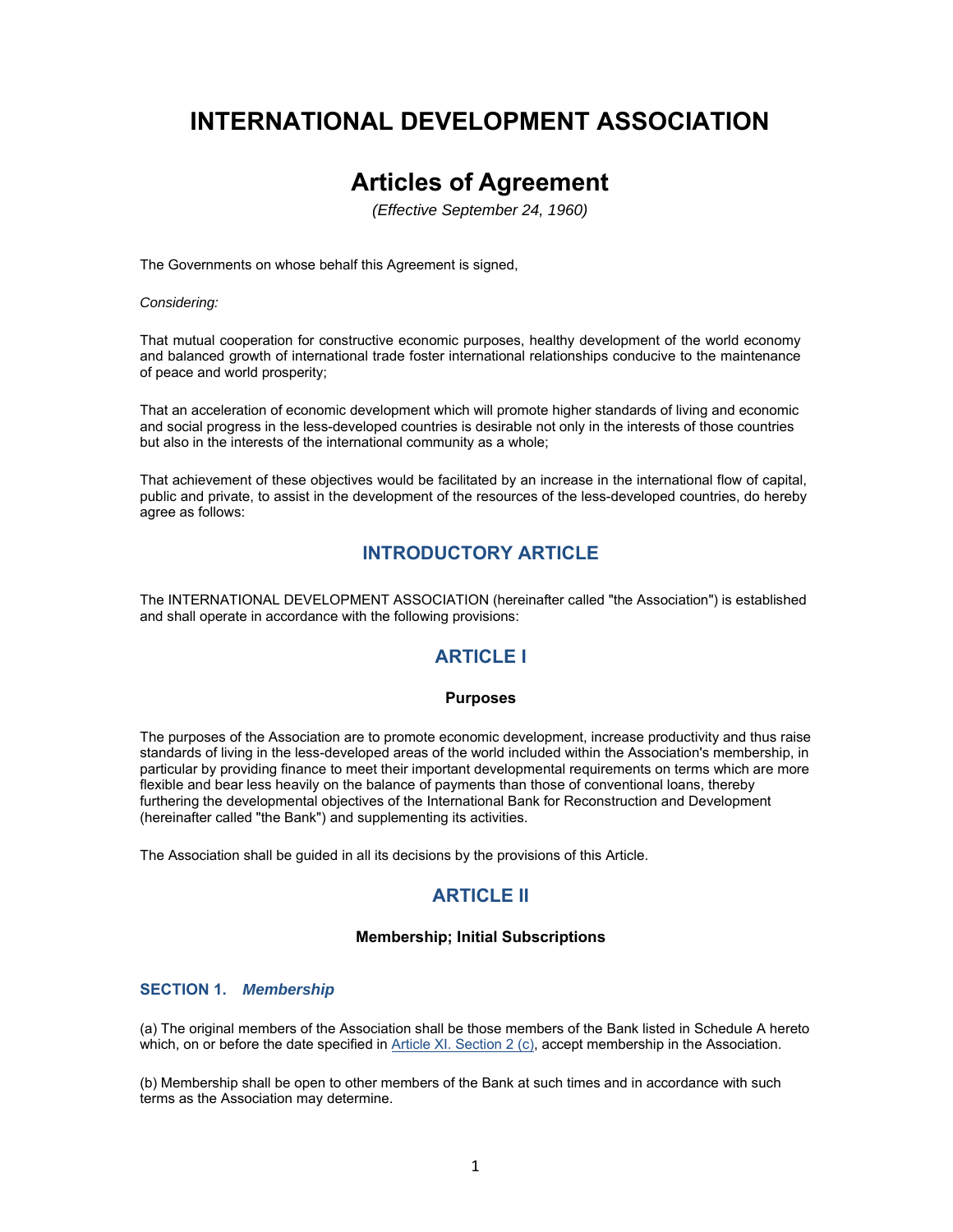# **INTERNATIONAL DEVELOPMENT ASSOCIATION**

# **Articles of Agreement**

*(Effective September 24, 1960)*

The Governments on whose behalf this Agreement is signed,

*Considering:*

That mutual cooperation for constructive economic purposes, healthy development of the world economy and balanced growth of international trade foster international relationships conducive to the maintenance of peace and world prosperity;

That an acceleration of economic development which will promote higher standards of living and economic and social progress in the less-developed countries is desirable not only in the interests of those countries but also in the interests of the international community as a whole;

That achievement of these objectives would be facilitated by an increase in the international flow of capital, public and private, to assist in the development of the resources of the less-developed countries, do hereby agree as follows:

# **INTRODUCTORY ARTICLE**

The INTERNATIONAL DEVELOPMENT ASSOCIATION (hereinafter called "the Association") is established and shall operate in accordance with the following provisions:

# **ARTICLE I**

#### **Purposes**

The purposes of the Association are to promote economic development, increase productivity and thus raise standards of living in the less-developed areas of the world included within the Association's membership, in particular by providing finance to meet their important developmental requirements on terms which are more flexible and bear less heavily on the balance of payments than those of conventional loans, thereby furthering the developmental objectives of the International Bank for Reconstruction and Development (hereinafter called "the Bank") and supplementing its activities.

The Association shall be guided in all its decisions by the provisions of this Article.

# **ARTICLE II**

## **Membership; Initial Subscriptions**

#### **SECTION 1.** *Membership*

(a) The original members of the Association shall be those members of the Bank listed in Schedule A hereto which, on or before the date specified in  $Article$  XI. Section  $2$  (c), accept membership in the Association.

(b) Membership shall be open to other members of the Bank at such times and in accordance with such terms as the Association may determine.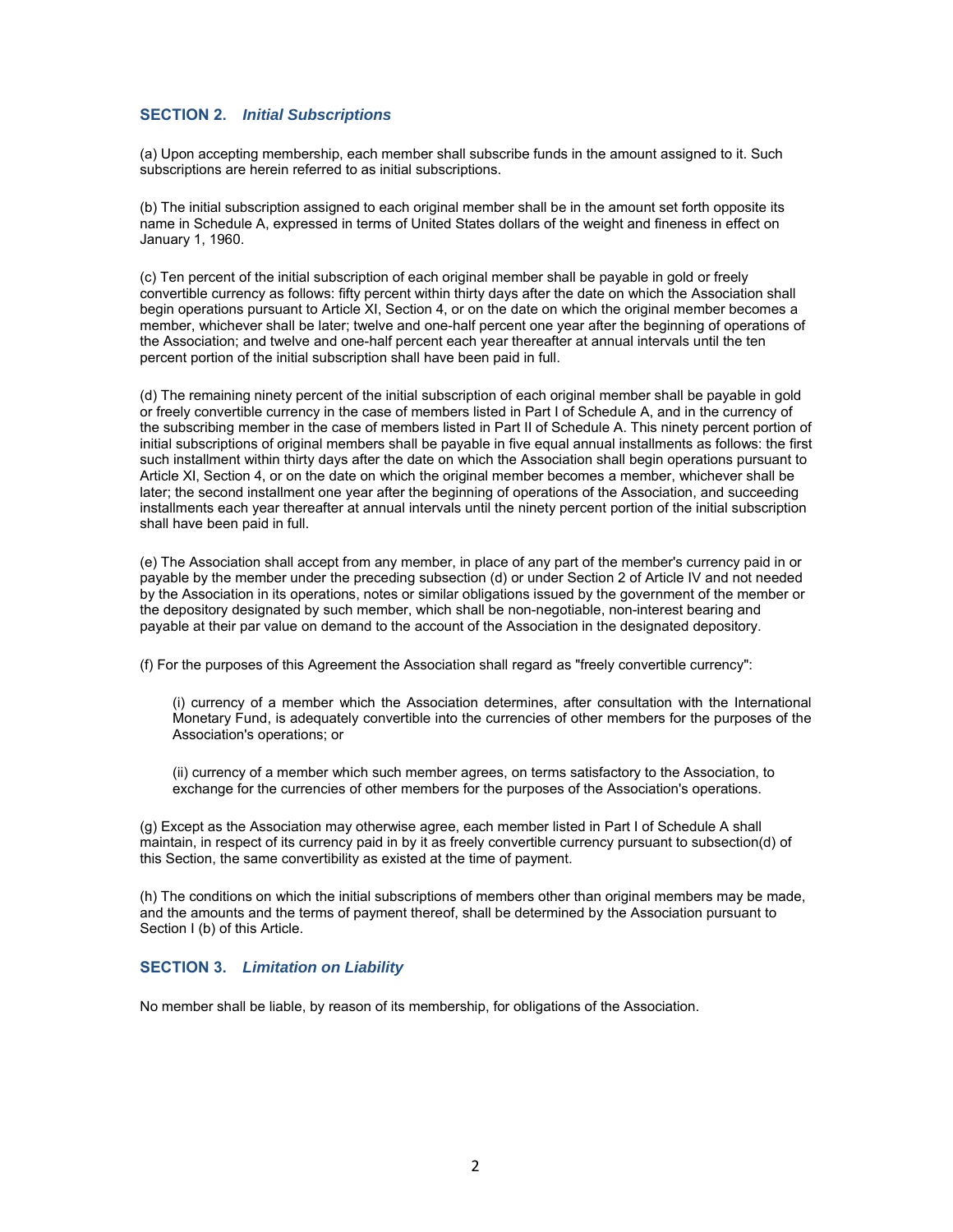# **SECTION 2.** *Initial Subscriptions*

(a) Upon accepting membership, each member shall subscribe funds in the amount assigned to it. Such subscriptions are herein referred to as initial subscriptions.

(b) The initial subscription assigned to each original member shall be in the amount set forth opposite its name in Schedule A, expressed in terms of United States dollars of the weight and fineness in effect on January 1, 1960.

(c) Ten percent of the initial subscription of each original member shall be payable in gold or freely convertible currency as follows: fifty percent within thirty days after the date on which the Association shall begin operations pursuant to Article XI, Section 4, or on the date on which the original member becomes a member, whichever shall be later; twelve and one-half percent one year after the beginning of operations of the Association; and twelve and one-half percent each year thereafter at annual intervals until the ten percent portion of the initial subscription shall have been paid in full.

(d) The remaining ninety percent of the initial subscription of each original member shall be payable in gold or freely convertible currency in the case of members listed in Part I of Schedule A, and in the currency of the subscribing member in the case of members listed in Part II of Schedule A. This ninety percent portion of initial subscriptions of original members shall be payable in five equal annual installments as follows: the first such installment within thirty days after the date on which the Association shall begin operations pursuant to Article XI, Section 4, or on the date on which the original member becomes a member, whichever shall be later; the second installment one year after the beginning of operations of the Association, and succeeding installments each year thereafter at annual intervals until the ninety percent portion of the initial subscription shall have been paid in full.

(e) The Association shall accept from any member, in place of any part of the member's currency paid in or payable by the member under the preceding subsection (d) or under Section 2 of Article IV and not needed by the Association in its operations, notes or similar obligations issued by the government of the member or the depository designated by such member, which shall be non-negotiable, non-interest bearing and payable at their par value on demand to the account of the Association in the designated depository.

(f) For the purposes of this Agreement the Association shall regard as "freely convertible currency":

(i) currency of a member which the Association determines, after consultation with the International Monetary Fund, is adequately convertible into the currencies of other members for the purposes of the Association's operations; or

(ii) currency of a member which such member agrees, on terms satisfactory to the Association, to exchange for the currencies of other members for the purposes of the Association's operations.

(g) Except as the Association may otherwise agree, each member listed in Part I of Schedule A shall maintain, in respect of its currency paid in by it as freely convertible currency pursuant to subsection(d) of this Section, the same convertibility as existed at the time of payment.

(h) The conditions on which the initial subscriptions of members other than original members may be made, and the amounts and the terms of payment thereof, shall be determined by the Association pursuant to Section I (b) of this Article.

#### **SECTION 3.** *Limitation on Liability*

No member shall be liable, by reason of its membership, for obligations of the Association.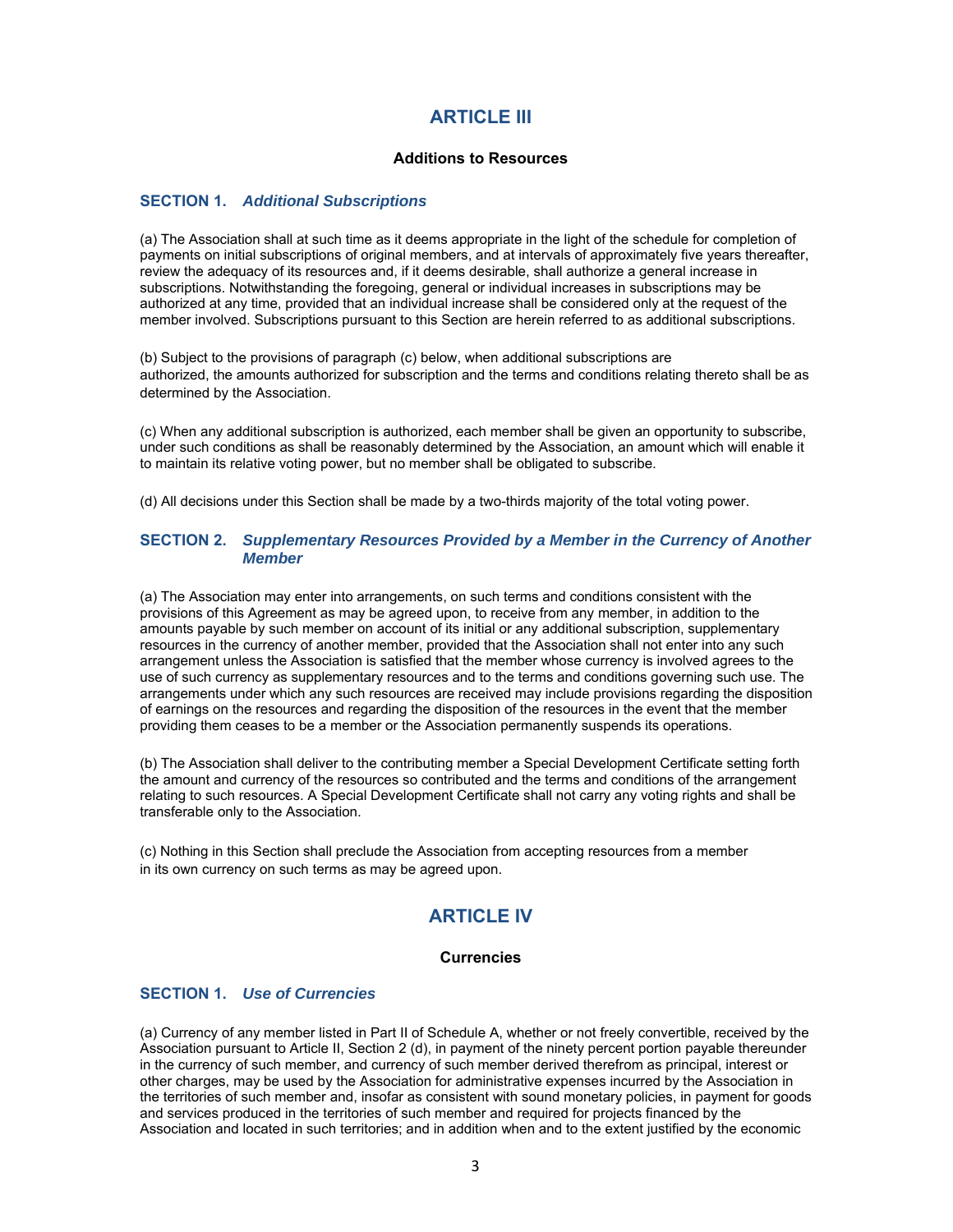# **ARTICLE III**

## **Additions to Resources**

# **SECTION 1.** *Additional Subscriptions*

(a) The Association shall at such time as it deems appropriate in the light of the schedule for completion of payments on initial subscriptions of original members, and at intervals of approximately five years thereafter, review the adequacy of its resources and, if it deems desirable, shall authorize a general increase in subscriptions. Notwithstanding the foregoing, general or individual increases in subscriptions may be authorized at any time, provided that an individual increase shall be considered only at the request of the member involved. Subscriptions pursuant to this Section are herein referred to as additional subscriptions.

(b) Subject to the provisions of paragraph (c) below, when additional subscriptions are authorized, the amounts authorized for subscription and the terms and conditions relating thereto shall be as determined by the Association.

(c) When any additional subscription is authorized, each member shall be given an opportunity to subscribe, under such conditions as shall be reasonably determined by the Association, an amount which will enable it to maintain its relative voting power, but no member shall be obligated to subscribe.

(d) All decisions under this Section shall be made by a two-thirds majority of the total voting power.

# **SECTION 2.** *Supplementary Resources Provided by a Member in the Currency of Another Member*

(a) The Association may enter into arrangements, on such terms and conditions consistent with the provisions of this Agreement as may be agreed upon, to receive from any member, in addition to the amounts payable by such member on account of its initial or any additional subscription, supplementary resources in the currency of another member, provided that the Association shall not enter into any such arrangement unless the Association is satisfied that the member whose currency is involved agrees to the use of such currency as supplementary resources and to the terms and conditions governing such use. The arrangements under which any such resources are received may include provisions regarding the disposition of earnings on the resources and regarding the disposition of the resources in the event that the member providing them ceases to be a member or the Association permanently suspends its operations.

(b) The Association shall deliver to the contributing member a Special Development Certificate setting forth the amount and currency of the resources so contributed and the terms and conditions of the arrangement relating to such resources. A Special Development Certificate shall not carry any voting rights and shall be transferable only to the Association.

(c) Nothing in this Section shall preclude the Association from accepting resources from a member in its own currency on such terms as may be agreed upon.

# **ARTICLE IV**

#### **Currencies**

# **SECTION 1.** *Use of Currencies*

(a) Currency of any member listed in Part II of Schedule A, whether or not freely convertible, received by the Association pursuant to Article II, Section 2 (d), in payment of the ninety percent portion payable thereunder in the currency of such member, and currency of such member derived therefrom as principal, interest or other charges, may be used by the Association for administrative expenses incurred by the Association in the territories of such member and, insofar as consistent with sound monetary policies, in payment for goods and services produced in the territories of such member and required for projects financed by the Association and located in such territories; and in addition when and to the extent justified by the economic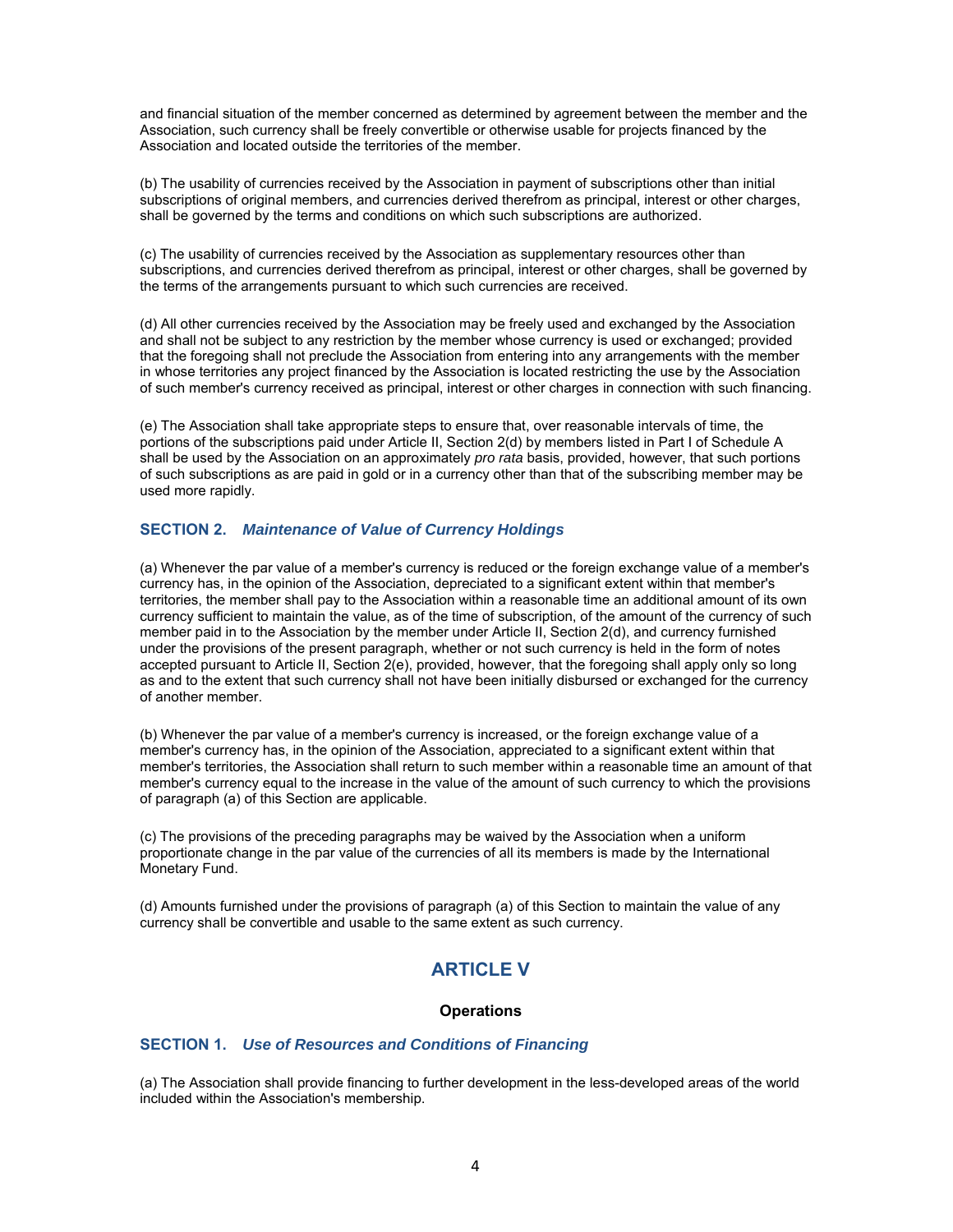and financial situation of the member concerned as determined by agreement between the member and the Association, such currency shall be freely convertible or otherwise usable for projects financed by the Association and located outside the territories of the member.

(b) The usability of currencies received by the Association in payment of subscriptions other than initial subscriptions of original members, and currencies derived therefrom as principal, interest or other charges, shall be governed by the terms and conditions on which such subscriptions are authorized.

(c) The usability of currencies received by the Association as supplementary resources other than subscriptions, and currencies derived therefrom as principal, interest or other charges, shall be governed by the terms of the arrangements pursuant to which such currencies are received.

(d) All other currencies received by the Association may be freely used and exchanged by the Association and shall not be subject to any restriction by the member whose currency is used or exchanged; provided that the foregoing shall not preclude the Association from entering into any arrangements with the member in whose territories any project financed by the Association is located restricting the use by the Association of such member's currency received as principal, interest or other charges in connection with such financing.

(e) The Association shall take appropriate steps to ensure that, over reasonable intervals of time, the portions of the subscriptions paid under Article II, Section 2(d) by members listed in Part I of Schedule A shall be used by the Association on an approximately *pro rata* basis, provided, however, that such portions of such subscriptions as are paid in gold or in a currency other than that of the subscribing member may be used more rapidly.

#### **SECTION 2.** *Maintenance of Value of Currency Holdings*

(a) Whenever the par value of a member's currency is reduced or the foreign exchange value of a member's currency has, in the opinion of the Association, depreciated to a significant extent within that member's territories, the member shall pay to the Association within a reasonable time an additional amount of its own currency sufficient to maintain the value, as of the time of subscription, of the amount of the currency of such member paid in to the Association by the member under Article II, Section 2(d), and currency furnished under the provisions of the present paragraph, whether or not such currency is held in the form of notes accepted pursuant to Article II, Section 2(e), provided, however, that the foregoing shall apply only so long as and to the extent that such currency shall not have been initially disbursed or exchanged for the currency of another member.

(b) Whenever the par value of a member's currency is increased, or the foreign exchange value of a member's currency has, in the opinion of the Association, appreciated to a significant extent within that member's territories, the Association shall return to such member within a reasonable time an amount of that member's currency equal to the increase in the value of the amount of such currency to which the provisions of paragraph (a) of this Section are applicable.

(c) The provisions of the preceding paragraphs may be waived by the Association when a uniform proportionate change in the par value of the currencies of all its members is made by the International Monetary Fund.

(d) Amounts furnished under the provisions of paragraph (a) of this Section to maintain the value of any currency shall be convertible and usable to the same extent as such currency.

# **ARTICLE V**

#### **Operations**

## **SECTION 1.** *Use of Resources and Conditions of Financing*

(a) The Association shall provide financing to further development in the less-developed areas of the world included within the Association's membership.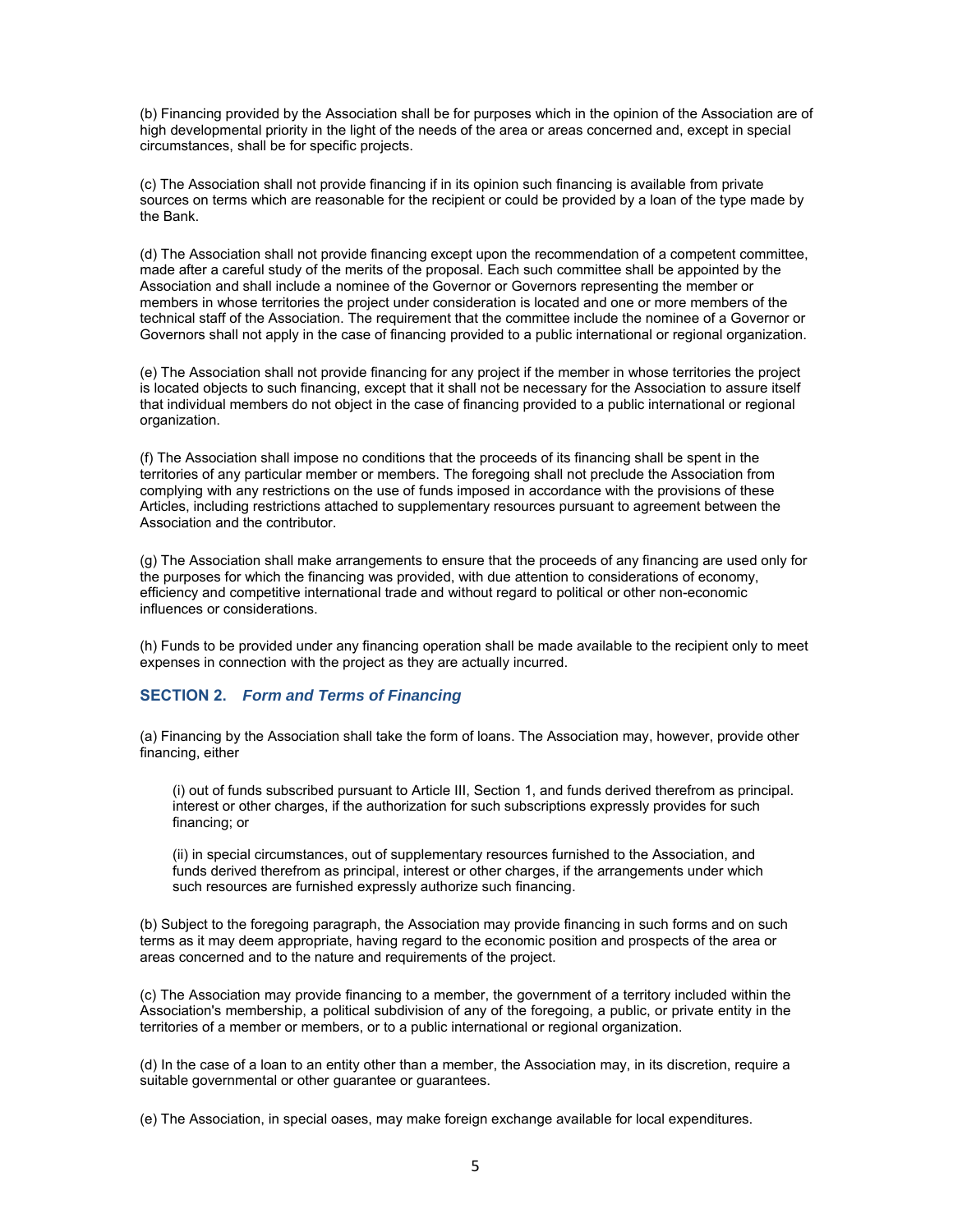(b) Financing provided by the Association shall be for purposes which in the opinion of the Association are of high developmental priority in the light of the needs of the area or areas concerned and, except in special circumstances, shall be for specific projects.

(c) The Association shall not provide financing if in its opinion such financing is available from private sources on terms which are reasonable for the recipient or could be provided by a loan of the type made by the Bank.

(d) The Association shall not provide financing except upon the recommendation of a competent committee, made after a careful study of the merits of the proposal. Each such committee shall be appointed by the Association and shall include a nominee of the Governor or Governors representing the member or members in whose territories the project under consideration is located and one or more members of the technical staff of the Association. The requirement that the committee include the nominee of a Governor or Governors shall not apply in the case of financing provided to a public international or regional organization.

(e) The Association shall not provide financing for any project if the member in whose territories the project is located objects to such financing, except that it shall not be necessary for the Association to assure itself that individual members do not object in the case of financing provided to a public international or regional organization.

(f) The Association shall impose no conditions that the proceeds of its financing shall be spent in the territories of any particular member or members. The foregoing shall not preclude the Association from complying with any restrictions on the use of funds imposed in accordance with the provisions of these Articles, including restrictions attached to supplementary resources pursuant to agreement between the Association and the contributor.

(g) The Association shall make arrangements to ensure that the proceeds of any financing are used only for the purposes for which the financing was provided, with due attention to considerations of economy, efficiency and competitive international trade and without regard to political or other non-economic influences or considerations.

(h) Funds to be provided under any financing operation shall be made available to the recipient only to meet expenses in connection with the project as they are actually incurred.

#### **SECTION 2.** *Form and Terms of Financing*

(a) Financing by the Association shall take the form of loans. The Association may, however, provide other financing, either

(i) out of funds subscribed pursuant to Article III, Section 1, and funds derived therefrom as principal. interest or other charges, if the authorization for such subscriptions expressly provides for such financing; or

(ii) in special circumstances, out of supplementary resources furnished to the Association, and funds derived therefrom as principal, interest or other charges, if the arrangements under which such resources are furnished expressly authorize such financing.

(b) Subject to the foregoing paragraph, the Association may provide financing in such forms and on such terms as it may deem appropriate, having regard to the economic position and prospects of the area or areas concerned and to the nature and requirements of the project.

(c) The Association may provide financing to a member, the government of a territory included within the Association's membership, a political subdivision of any of the foregoing, a public, or private entity in the territories of a member or members, or to a public international or regional organization.

(d) In the case of a loan to an entity other than a member, the Association may, in its discretion, require a suitable governmental or other guarantee or guarantees.

(e) The Association, in special oases, may make foreign exchange available for local expenditures.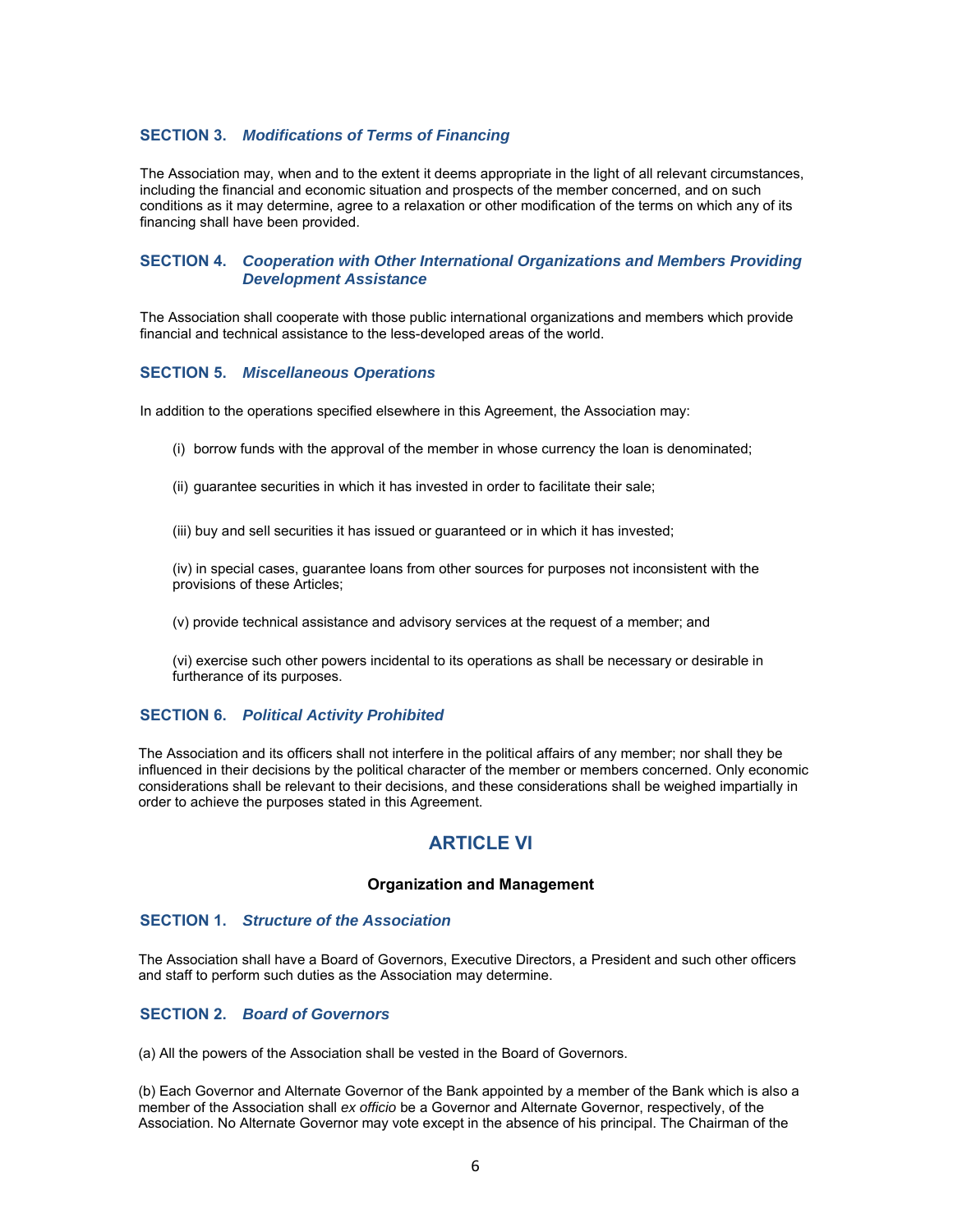## **SECTION 3.** *Modifications of Terms of Financing*

The Association may, when and to the extent it deems appropriate in the light of all relevant circumstances, including the financial and economic situation and prospects of the member concerned, and on such conditions as it may determine, agree to a relaxation or other modification of the terms on which any of its financing shall have been provided.

# **SECTION 4.** *Cooperation with Other International Organizations and Members Providing Development Assistance*

The Association shall cooperate with those public international organizations and members which provide financial and technical assistance to the less-developed areas of the world.

#### **SECTION 5.** *Miscellaneous Operations*

In addition to the operations specified elsewhere in this Agreement, the Association may:

- (i) borrow funds with the approval of the member in whose currency the loan is denominated;
- (ii) guarantee securities in which it has invested in order to facilitate their sale;
- (iii) buy and sell securities it has issued or guaranteed or in which it has invested;

(iv) in special cases, guarantee loans from other sources for purposes not inconsistent with the provisions of these Articles;

(v) provide technical assistance and advisory services at the request of a member; and

(vi) exercise such other powers incidental to its operations as shall be necessary or desirable in furtherance of its purposes.

#### **SECTION 6.** *Political Activity Prohibited*

The Association and its officers shall not interfere in the political affairs of any member; nor shall they be influenced in their decisions by the political character of the member or members concerned. Only economic considerations shall be relevant to their decisions, and these considerations shall be weighed impartially in order to achieve the purposes stated in this Agreement.

# **ARTICI F VI**

#### **Organization and Management**

## **SECTION 1.** *Structure of the Association*

The Association shall have a Board of Governors, Executive Directors, a President and such other officers and staff to perform such duties as the Association may determine.

## **SECTION 2.** *Board of Governors*

(a) All the powers of the Association shall be vested in the Board of Governors.

(b) Each Governor and Alternate Governor of the Bank appointed by a member of the Bank which is also a member of the Association shall *ex officio* be a Governor and Alternate Governor, respectively, of the Association. No Alternate Governor may vote except in the absence of his principal. The Chairman of the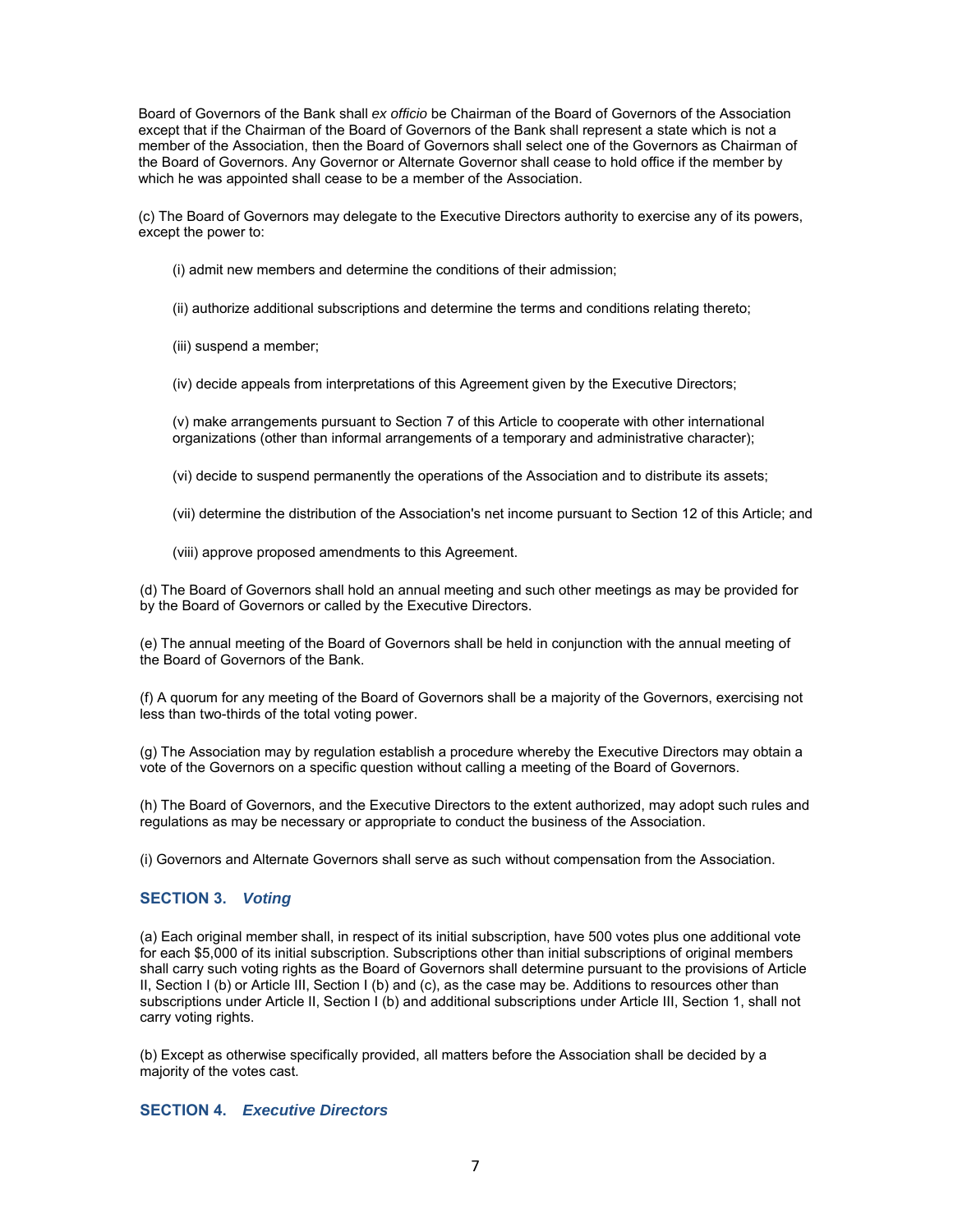Board of Governors of the Bank shall *ex officio* be Chairman of the Board of Governors of the Association except that if the Chairman of the Board of Governors of the Bank shall represent a state which is not a member of the Association, then the Board of Governors shall select one of the Governors as Chairman of the Board of Governors. Any Governor or Alternate Governor shall cease to hold office if the member by which he was appointed shall cease to be a member of the Association.

(c) The Board of Governors may delegate to the Executive Directors authority to exercise any of its powers, except the power to:

- (i) admit new members and determine the conditions of their admission;
- (ii) authorize additional subscriptions and determine the terms and conditions relating thereto;
- (iii) suspend a member;
- (iv) decide appeals from interpretations of this Agreement given by the Executive Directors;

(v) make arrangements pursuant to Section 7 of this Article to cooperate with other international organizations (other than informal arrangements of a temporary and administrative character);

- (vi) decide to suspend permanently the operations of the Association and to distribute its assets;
- (vii) determine the distribution of the Association's net income pursuant to Section 12 of this Article; and
- (viii) approve proposed amendments to this Agreement.

(d) The Board of Governors shall hold an annual meeting and such other meetings as may be provided for by the Board of Governors or called by the Executive Directors.

(e) The annual meeting of the Board of Governors shall be held in conjunction with the annual meeting of the Board of Governors of the Bank.

(f) A quorum for any meeting of the Board of Governors shall be a majority of the Governors, exercising not less than two-thirds of the total voting power.

(g) The Association may by regulation establish a procedure whereby the Executive Directors may obtain a vote of the Governors on a specific question without calling a meeting of the Board of Governors.

(h) The Board of Governors, and the Executive Directors to the extent authorized, may adopt such rules and regulations as may be necessary or appropriate to conduct the business of the Association.

(i) Governors and Alternate Governors shall serve as such without compensation from the Association.

# **SECTION 3.** *Voting*

(a) Each original member shall, in respect of its initial subscription, have 500 votes plus one additional vote for each \$5,000 of its initial subscription. Subscriptions other than initial subscriptions of original members shall carry such voting rights as the Board of Governors shall determine pursuant to the provisions of Article II, Section I (b) or Article III, Section I (b) and (c), as the case may be. Additions to resources other than subscriptions under Article II, Section I (b) and additional subscriptions under Article III, Section 1, shall not carry voting rights.

(b) Except as otherwise specifically provided, all matters before the Association shall be decided by a majority of the votes cast.

### **SECTION 4.** *Executive Directors*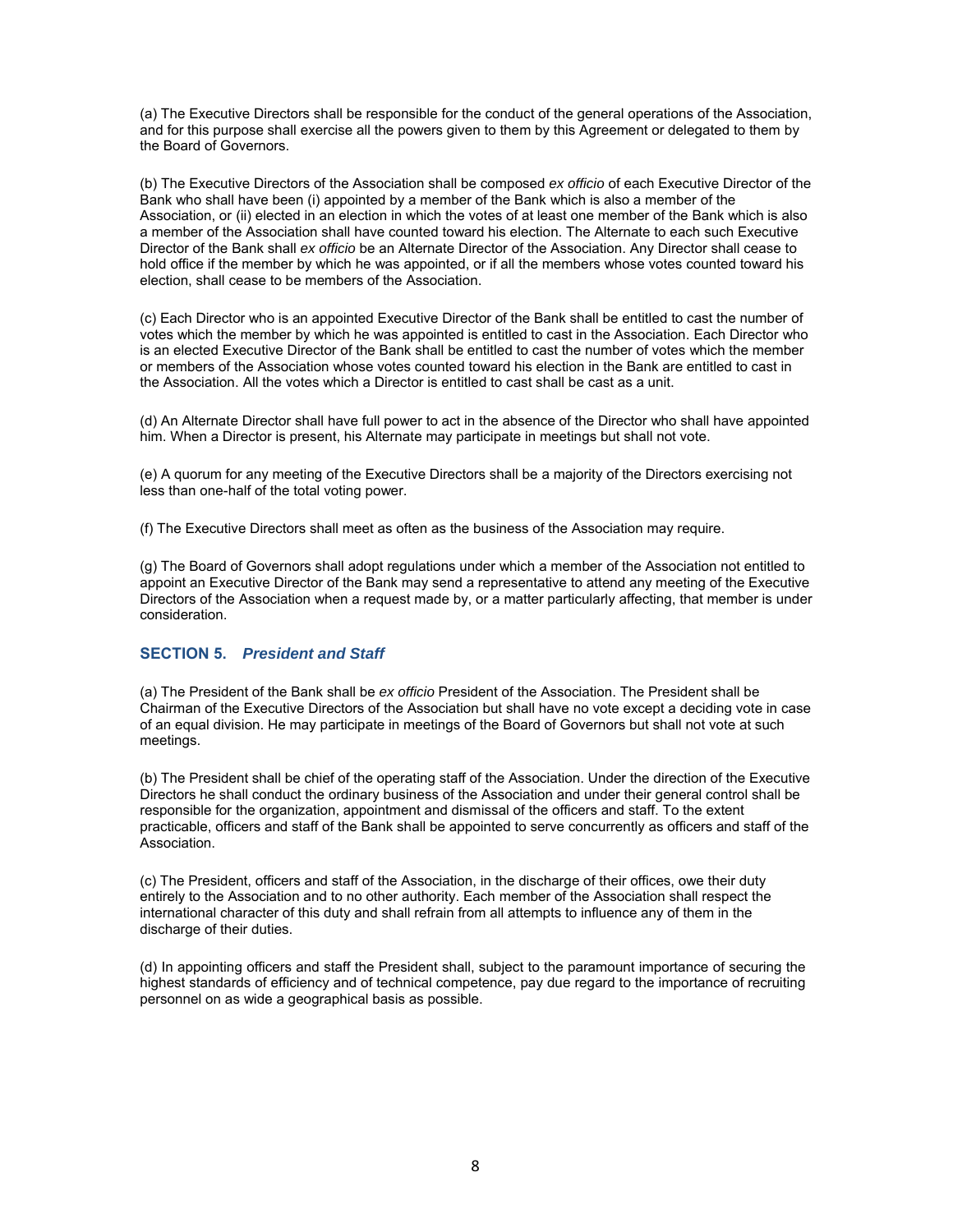(a) The Executive Directors shall be responsible for the conduct of the general operations of the Association, and for this purpose shall exercise all the powers given to them by this Agreement or delegated to them by the Board of Governors.

(b) The Executive Directors of the Association shall be composed *ex officio* of each Executive Director of the Bank who shall have been (i) appointed by a member of the Bank which is also a member of the Association, or (ii) elected in an election in which the votes of at least one member of the Bank which is also a member of the Association shall have counted toward his election. The Alternate to each such Executive Director of the Bank shall *ex officio* be an Alternate Director of the Association. Any Director shall cease to hold office if the member by which he was appointed, or if all the members whose votes counted toward his election, shall cease to be members of the Association.

(c) Each Director who is an appointed Executive Director of the Bank shall be entitled to cast the number of votes which the member by which he was appointed is entitled to cast in the Association. Each Director who is an elected Executive Director of the Bank shall be entitled to cast the number of votes which the member or members of the Association whose votes counted toward his election in the Bank are entitled to cast in the Association. All the votes which a Director is entitled to cast shall be cast as a unit.

(d) An Alternate Director shall have full power to act in the absence of the Director who shall have appointed him. When a Director is present, his Alternate may participate in meetings but shall not vote.

(e) A quorum for any meeting of the Executive Directors shall be a majority of the Directors exercising not less than one-half of the total voting power.

(f) The Executive Directors shall meet as often as the business of the Association may require.

(g) The Board of Governors shall adopt regulations under which a member of the Association not entitled to appoint an Executive Director of the Bank may send a representative to attend any meeting of the Executive Directors of the Association when a request made by, or a matter particularly affecting, that member is under consideration.

# **SECTION 5.** *President and Staff*

(a) The President of the Bank shall be *ex officio* President of the Association. The President shall be Chairman of the Executive Directors of the Association but shall have no vote except a deciding vote in case of an equal division. He may participate in meetings of the Board of Governors but shall not vote at such meetings.

(b) The President shall be chief of the operating staff of the Association. Under the direction of the Executive Directors he shall conduct the ordinary business of the Association and under their general control shall be responsible for the organization, appointment and dismissal of the officers and staff. To the extent practicable, officers and staff of the Bank shall be appointed to serve concurrently as officers and staff of the Association.

(c) The President, officers and staff of the Association, in the discharge of their offices, owe their duty entirely to the Association and to no other authority. Each member of the Association shall respect the international character of this duty and shall refrain from all attempts to influence any of them in the discharge of their duties.

(d) In appointing officers and staff the President shall, subject to the paramount importance of securing the highest standards of efficiency and of technical competence, pay due regard to the importance of recruiting personnel on as wide a geographical basis as possible.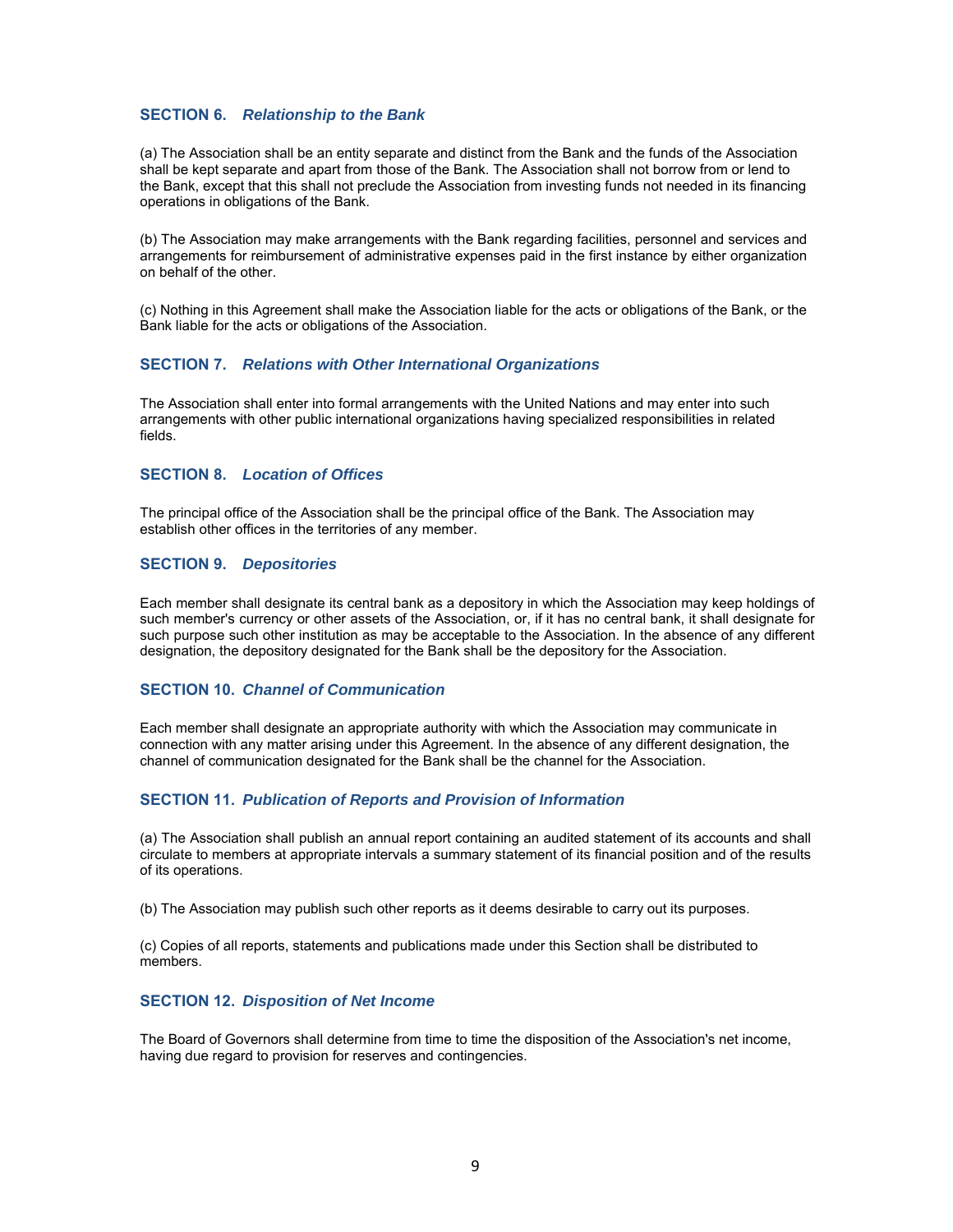# **SECTION 6.** *Relationship to the Bank*

(a) The Association shall be an entity separate and distinct from the Bank and the funds of the Association shall be kept separate and apart from those of the Bank. The Association shall not borrow from or lend to the Bank, except that this shall not preclude the Association from investing funds not needed in its financing operations in obligations of the Bank.

(b) The Association may make arrangements with the Bank regarding facilities, personnel and services and arrangements for reimbursement of administrative expenses paid in the first instance by either organization on behalf of the other.

(c) Nothing in this Agreement shall make the Association liable for the acts or obligations of the Bank, or the Bank liable for the acts or obligations of the Association.

#### **SECTION 7.** *Relations with Other International Organizations*

The Association shall enter into formal arrangements with the United Nations and may enter into such arrangements with other public international organizations having specialized responsibilities in related fields.

## **SECTION 8.** *Location of Offices*

The principal office of the Association shall be the principal office of the Bank. The Association may establish other offices in the territories of any member.

#### **SECTION 9.** *Depositories*

Each member shall designate its central bank as a depository in which the Association may keep holdings of such member's currency or other assets of the Association, or, if it has no central bank, it shall designate for such purpose such other institution as may be acceptable to the Association. In the absence of any different designation, the depository designated for the Bank shall be the depository for the Association.

#### **SECTION 10.** *Channel of Communication*

Each member shall designate an appropriate authority with which the Association may communicate in connection with any matter arising under this Agreement. In the absence of any different designation, the channel of communication designated for the Bank shall be the channel for the Association.

#### **SECTION 11.** *Publication of Reports and Provision of Information*

(a) The Association shall publish an annual report containing an audited statement of its accounts and shall circulate to members at appropriate intervals a summary statement of its financial position and of the results of its operations.

(b) The Association may publish such other reports as it deems desirable to carry out its purposes.

(c) Copies of all reports, statements and publications made under this Section shall be distributed to members.

## **SECTION 12.** *Disposition of Net Income*

The Board of Governors shall determine from time to time the disposition of the Association's net income, having due regard to provision for reserves and contingencies.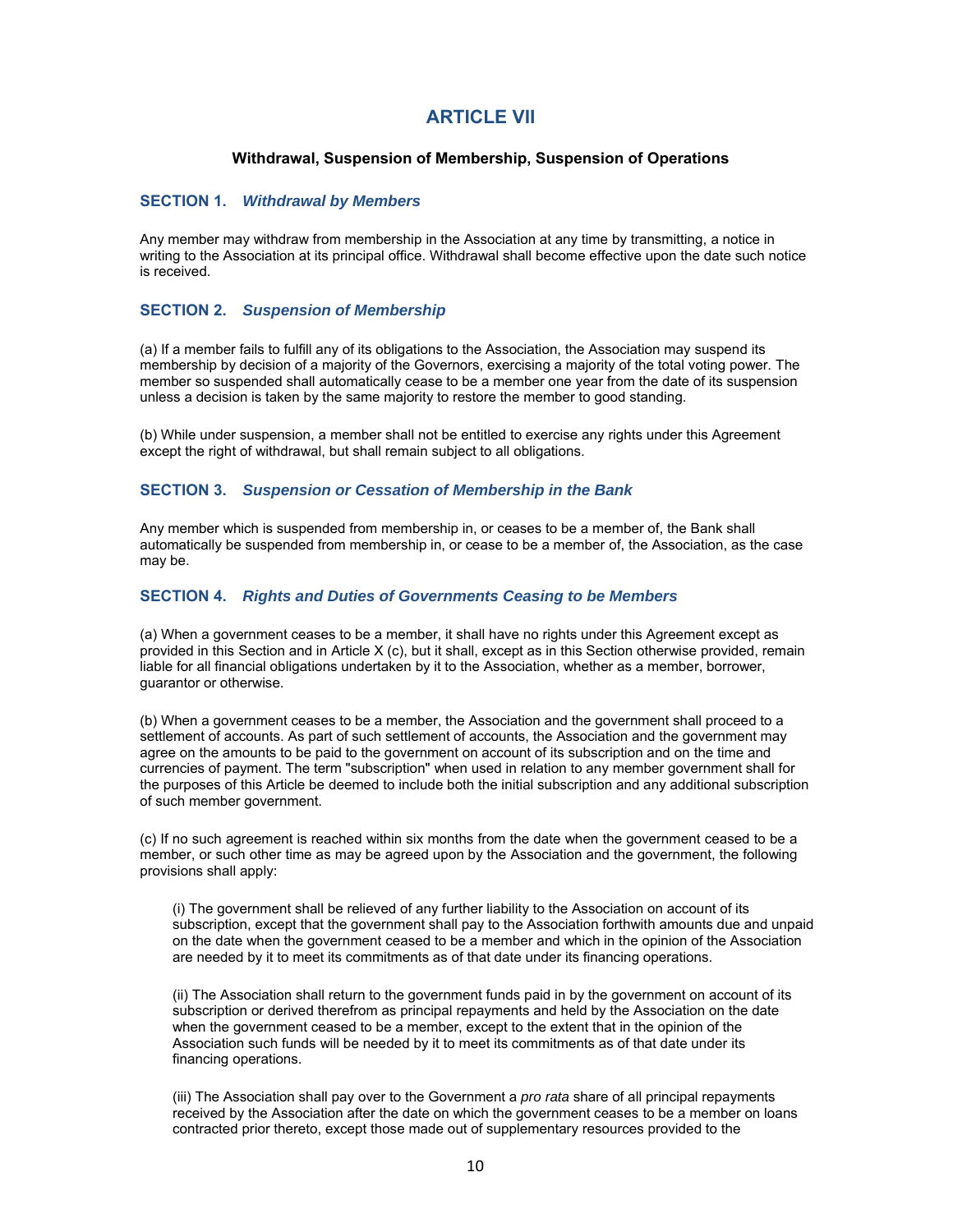# **ARTICLE VII**

## **Withdrawal, Suspension of Membership, Suspension of Operations**

#### **SECTION 1.** *Withdrawal by Members*

Any member may withdraw from membership in the Association at any time by transmitting, a notice in writing to the Association at its principal office. Withdrawal shall become effective upon the date such notice is received.

#### **SECTION 2.** *Suspension of Membership*

(a) If a member fails to fulfill any of its obligations to the Association, the Association may suspend its membership by decision of a majority of the Governors, exercising a majority of the total voting power. The member so suspended shall automatically cease to be a member one year from the date of its suspension unless a decision is taken by the same majority to restore the member to good standing.

(b) While under suspension, a member shall not be entitled to exercise any rights under this Agreement except the right of withdrawal, but shall remain subject to all obligations.

#### **SECTION 3.** *Suspension or Cessation of Membership in the Bank*

Any member which is suspended from membership in, or ceases to be a member of, the Bank shall automatically be suspended from membership in, or cease to be a member of, the Association, as the case may be.

#### **SECTION 4.** *Rights and Duties of Governments Ceasing to be Members*

(a) When a government ceases to be a member, it shall have no rights under this Agreement except as provided in this Section and in Article X (c), but it shall, except as in this Section otherwise provided, remain liable for all financial obligations undertaken by it to the Association, whether as a member, borrower, guarantor or otherwise.

(b) When a government ceases to be a member, the Association and the government shall proceed to a settlement of accounts. As part of such settlement of accounts, the Association and the government may agree on the amounts to be paid to the government on account of its subscription and on the time and currencies of payment. The term "subscription" when used in relation to any member government shall for the purposes of this Article be deemed to include both the initial subscription and any additional subscription of such member government.

(c) If no such agreement is reached within six months from the date when the government ceased to be a member, or such other time as may be agreed upon by the Association and the government, the following provisions shall apply:

(i) The government shall be relieved of any further liability to the Association on account of its subscription, except that the government shall pay to the Association forthwith amounts due and unpaid on the date when the government ceased to be a member and which in the opinion of the Association are needed by it to meet its commitments as of that date under its financing operations.

(ii) The Association shall return to the government funds paid in by the government on account of its subscription or derived therefrom as principal repayments and held by the Association on the date when the government ceased to be a member, except to the extent that in the opinion of the Association such funds will be needed by it to meet its commitments as of that date under its financing operations.

(iii) The Association shall pay over to the Government a *pro rata* share of all principal repayments received by the Association after the date on which the government ceases to be a member on loans contracted prior thereto, except those made out of supplementary resources provided to the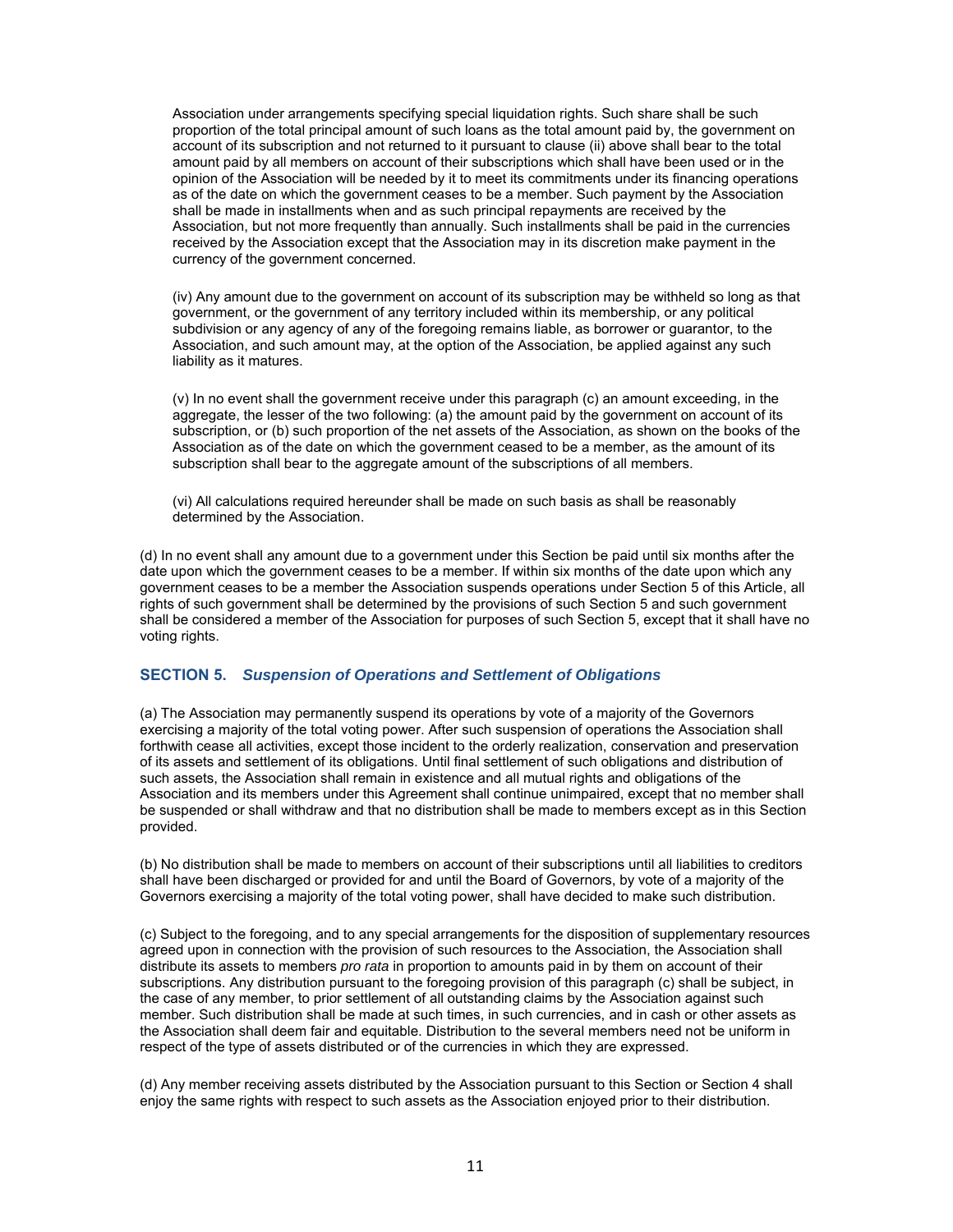Association under arrangements specifying special liquidation rights. Such share shall be such proportion of the total principal amount of such loans as the total amount paid by, the government on account of its subscription and not returned to it pursuant to clause (ii) above shall bear to the total amount paid by all members on account of their subscriptions which shall have been used or in the opinion of the Association will be needed by it to meet its commitments under its financing operations as of the date on which the government ceases to be a member. Such payment by the Association shall be made in installments when and as such principal repayments are received by the Association, but not more frequently than annually. Such installments shall be paid in the currencies received by the Association except that the Association may in its discretion make payment in the currency of the government concerned.

(iv) Any amount due to the government on account of its subscription may be withheld so long as that government, or the government of any territory included within its membership, or any political subdivision or any agency of any of the foregoing remains liable, as borrower or guarantor, to the Association, and such amount may, at the option of the Association, be applied against any such liability as it matures.

(v) In no event shall the government receive under this paragraph (c) an amount exceeding, in the aggregate, the lesser of the two following: (a) the amount paid by the government on account of its subscription, or (b) such proportion of the net assets of the Association, as shown on the books of the Association as of the date on which the government ceased to be a member, as the amount of its subscription shall bear to the aggregate amount of the subscriptions of all members.

(vi) All calculations required hereunder shall be made on such basis as shall be reasonably determined by the Association.

(d) In no event shall any amount due to a government under this Section be paid until six months after the date upon which the government ceases to be a member. If within six months of the date upon which any government ceases to be a member the Association suspends operations under Section 5 of this Article, all rights of such government shall be determined by the provisions of such Section 5 and such government shall be considered a member of the Association for purposes of such Section 5, except that it shall have no voting rights.

# **SECTION 5.** *Suspension of Operations and Settlement of Obligations*

(a) The Association may permanently suspend its operations by vote of a majority of the Governors exercising a majority of the total voting power. After such suspension of operations the Association shall forthwith cease all activities, except those incident to the orderly realization, conservation and preservation of its assets and settlement of its obligations. Until final settlement of such obligations and distribution of such assets, the Association shall remain in existence and all mutual rights and obligations of the Association and its members under this Agreement shall continue unimpaired, except that no member shall be suspended or shall withdraw and that no distribution shall be made to members except as in this Section provided.

(b) No distribution shall be made to members on account of their subscriptions until all liabilities to creditors shall have been discharged or provided for and until the Board of Governors, by vote of a majority of the Governors exercising a majority of the total voting power, shall have decided to make such distribution.

(c) Subject to the foregoing, and to any special arrangements for the disposition of supplementary resources agreed upon in connection with the provision of such resources to the Association, the Association shall distribute its assets to members *pro rata* in proportion to amounts paid in by them on account of their subscriptions. Any distribution pursuant to the foregoing provision of this paragraph (c) shall be subject, in the case of any member, to prior settlement of all outstanding claims by the Association against such member. Such distribution shall be made at such times, in such currencies, and in cash or other assets as the Association shall deem fair and equitable. Distribution to the several members need not be uniform in respect of the type of assets distributed or of the currencies in which they are expressed.

(d) Any member receiving assets distributed by the Association pursuant to this Section or Section 4 shall enjoy the same rights with respect to such assets as the Association enjoyed prior to their distribution.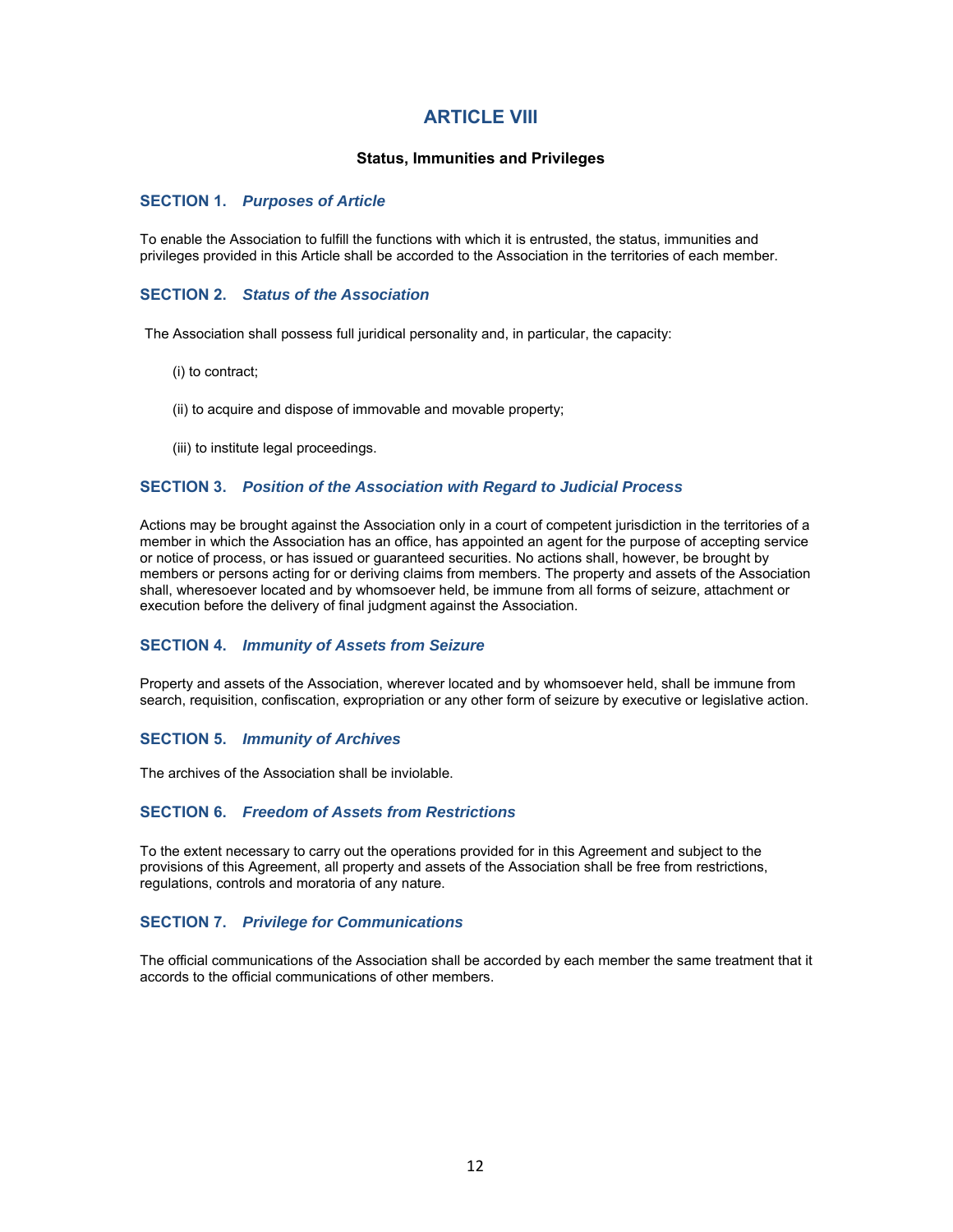# **ARTICLE VIII**

## **Status, Immunities and Privileges**

## **SECTION 1.** *Purposes of Article*

To enable the Association to fulfill the functions with which it is entrusted, the status, immunities and privileges provided in this Article shall be accorded to the Association in the territories of each member.

# **SECTION 2.** *Status of the Association*

The Association shall possess full juridical personality and, in particular, the capacity:

- (i) to contract;
- (ii) to acquire and dispose of immovable and movable property;
- (iii) to institute legal proceedings.

## **SECTION 3.** *Position of the Association with Regard to Judicial Process*

Actions may be brought against the Association only in a court of competent jurisdiction in the territories of a member in which the Association has an office, has appointed an agent for the purpose of accepting service or notice of process, or has issued or guaranteed securities. No actions shall, however, be brought by members or persons acting for or deriving claims from members. The property and assets of the Association shall, wheresoever located and by whomsoever held, be immune from all forms of seizure, attachment or execution before the delivery of final judgment against the Association.

#### **SECTION 4.** *Immunity of Assets from Seizure*

Property and assets of the Association, wherever located and by whomsoever held, shall be immune from search, requisition, confiscation, expropriation or any other form of seizure by executive or legislative action.

#### **SECTION 5.** *Immunity of Archives*

The archives of the Association shall be inviolable.

# **SECTION 6.** *Freedom of Assets from Restrictions*

To the extent necessary to carry out the operations provided for in this Agreement and subject to the provisions of this Agreement, all property and assets of the Association shall be free from restrictions, regulations, controls and moratoria of any nature.

#### **SECTION 7.** *Privilege for Communications*

The official communications of the Association shall be accorded by each member the same treatment that it accords to the official communications of other members.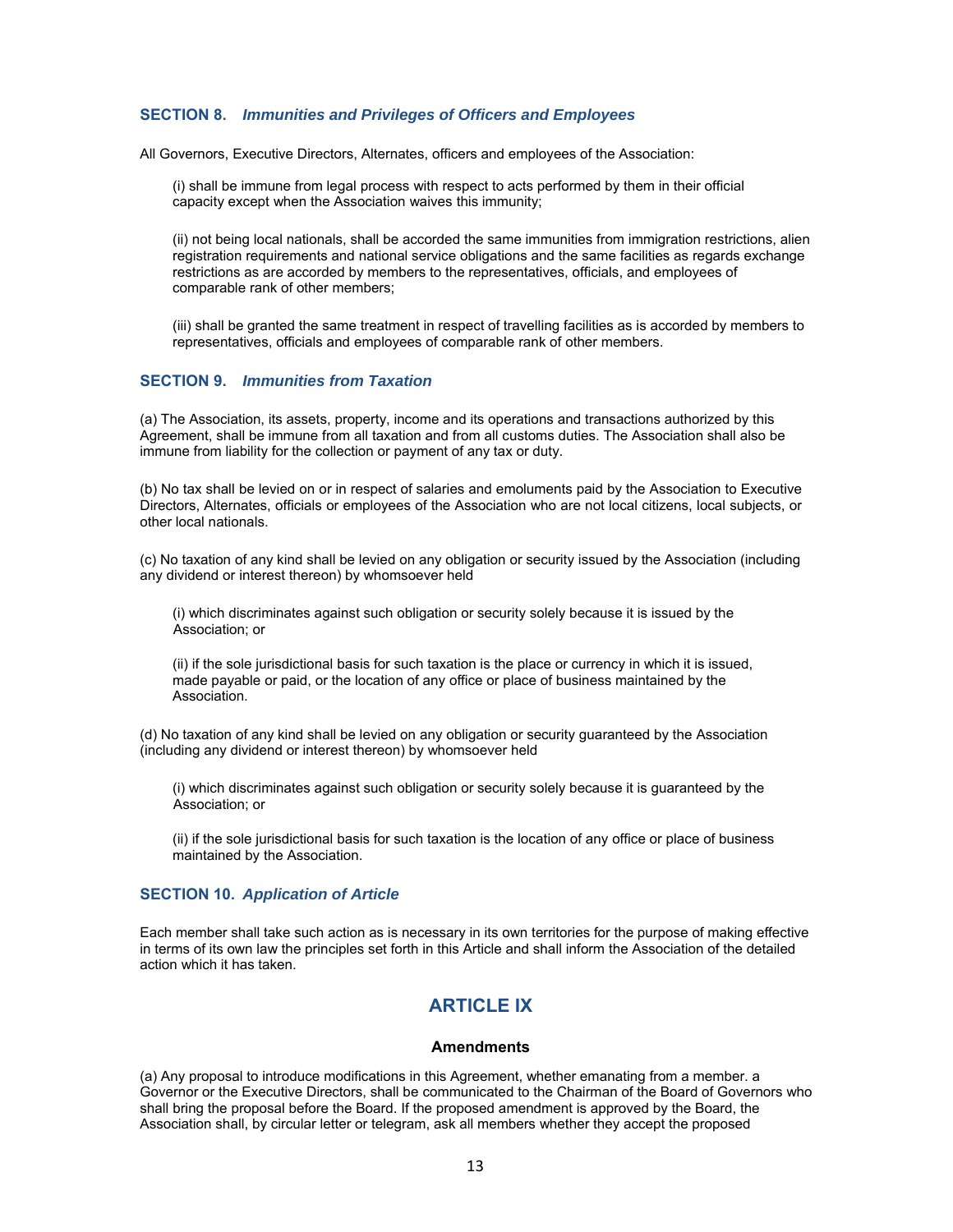## **SECTION 8.** *Immunities and Privileges of Officers and Employees*

All Governors, Executive Directors, Alternates, officers and employees of the Association:

(i) shall be immune from legal process with respect to acts performed by them in their official capacity except when the Association waives this immunity;

(ii) not being local nationals, shall be accorded the same immunities from immigration restrictions, alien registration requirements and national service obligations and the same facilities as regards exchange restrictions as are accorded by members to the representatives, officials, and employees of comparable rank of other members;

(iii) shall be granted the same treatment in respect of travelling facilities as is accorded by members to representatives, officials and employees of comparable rank of other members.

## **SECTION 9.** *Immunities from Taxation*

(a) The Association, its assets, property, income and its operations and transactions authorized by this Agreement, shall be immune from all taxation and from all customs duties. The Association shall also be immune from liability for the collection or payment of any tax or duty.

(b) No tax shall be levied on or in respect of salaries and emoluments paid by the Association to Executive Directors, Alternates, officials or employees of the Association who are not local citizens, local subjects, or other local nationals.

(c) No taxation of any kind shall be levied on any obligation or security issued by the Association (including any dividend or interest thereon) by whomsoever held

(i) which discriminates against such obligation or security solely because it is issued by the Association; or

(ii) if the sole jurisdictional basis for such taxation is the place or currency in which it is issued, made payable or paid, or the location of any office or place of business maintained by the Association.

(d) No taxation of any kind shall be levied on any obligation or security guaranteed by the Association (including any dividend or interest thereon) by whomsoever held

(i) which discriminates against such obligation or security solely because it is guaranteed by the Association; or

(ii) if the sole jurisdictional basis for such taxation is the location of any office or place of business maintained by the Association.

#### **SECTION 10.** *Application of Article*

Each member shall take such action as is necessary in its own territories for the purpose of making effective in terms of its own law the principles set forth in this Article and shall inform the Association of the detailed action which it has taken.

# **ARTICLE IX**

#### **Amendments**

(a) Any proposal to introduce modifications in this Agreement, whether emanating from a member. a Governor or the Executive Directors, shall be communicated to the Chairman of the Board of Governors who shall bring the proposal before the Board. If the proposed amendment is approved by the Board, the Association shall, by circular letter or telegram, ask all members whether they accept the proposed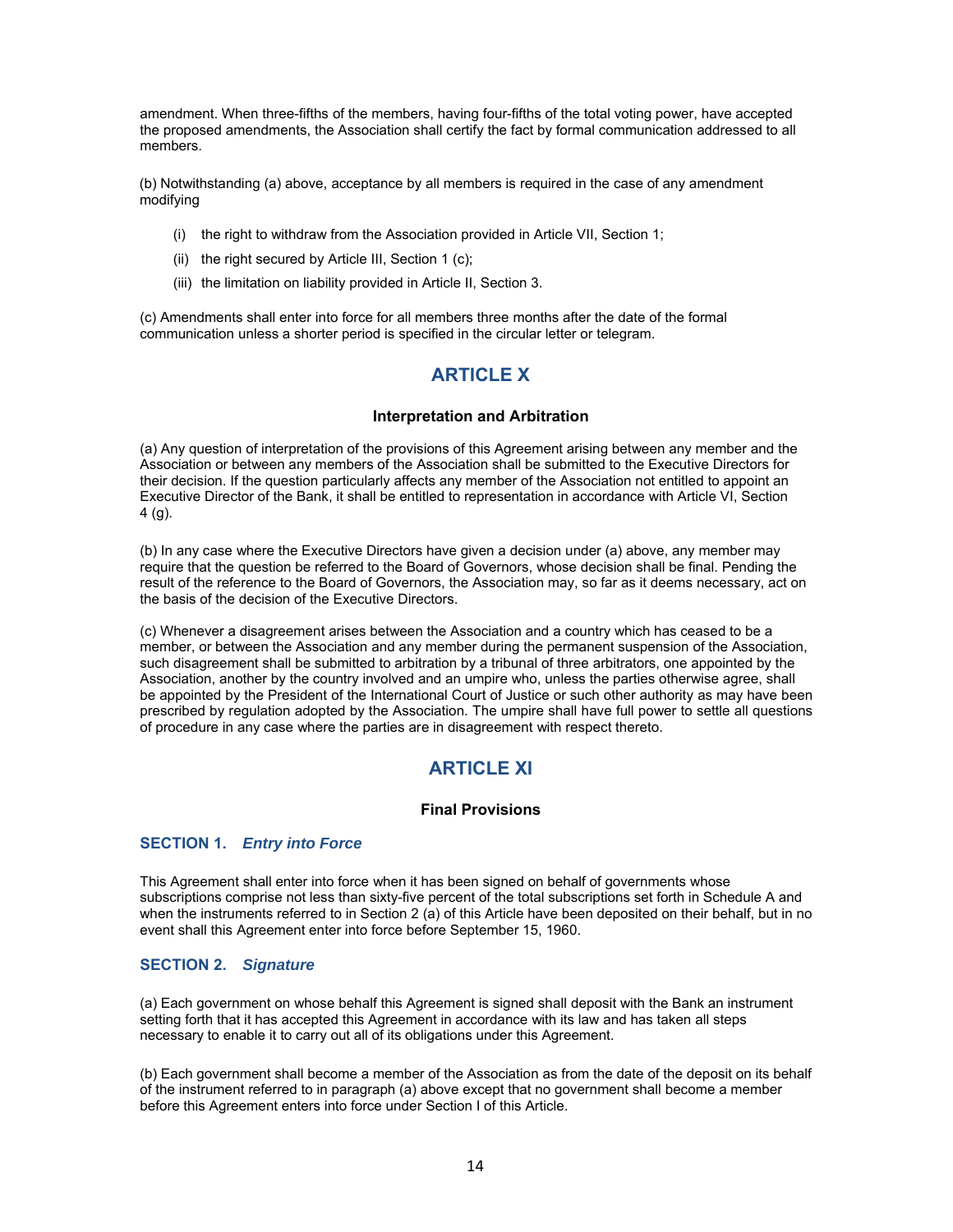amendment. When three-fifths of the members, having four-fifths of the total voting power, have accepted the proposed amendments, the Association shall certify the fact by formal communication addressed to all members.

(b) Notwithstanding (a) above, acceptance by all members is required in the case of any amendment modifying

- (i) the right to withdraw from the Association provided in Article VII, Section 1;
- (ii) the right secured by Article III, Section 1 (c);
- (iii) the limitation on liability provided in Article II, Section 3.

(c) Amendments shall enter into force for all members three months after the date of the formal communication unless a shorter period is specified in the circular letter or telegram.

# **ARTICLE X**

## **Interpretation and Arbitration**

(a) Any question of interpretation of the provisions of this Agreement arising between any member and the Association or between any members of the Association shall be submitted to the Executive Directors for their decision. If the question particularly affects any member of the Association not entitled to appoint an Executive Director of the Bank, it shall be entitled to representation in accordance with Article VI, Section 4 (g).

(b) In any case where the Executive Directors have given a decision under (a) above, any member may require that the question be referred to the Board of Governors, whose decision shall be final. Pending the result of the reference to the Board of Governors, the Association may, so far as it deems necessary, act on the basis of the decision of the Executive Directors.

(c) Whenever a disagreement arises between the Association and a country which has ceased to be a member, or between the Association and any member during the permanent suspension of the Association, such disagreement shall be submitted to arbitration by a tribunal of three arbitrators, one appointed by the Association, another by the country involved and an umpire who, unless the parties otherwise agree, shall be appointed by the President of the International Court of Justice or such other authority as may have been prescribed by regulation adopted by the Association. The umpire shall have full power to settle all questions of procedure in any case where the parties are in disagreement with respect thereto.

# **ARTICLE XI**

# **Final Provisions**

# **SECTION 1.** *Entry into Force*

This Agreement shall enter into force when it has been signed on behalf of governments whose subscriptions comprise not less than sixty-five percent of the total subscriptions set forth in Schedule A and when the instruments referred to in Section 2 (a) of this Article have been deposited on their behalf, but in no event shall this Agreement enter into force before September 15, 1960.

# **SECTION 2.** *Signature*

(a) Each government on whose behalf this Agreement is signed shall deposit with the Bank an instrument setting forth that it has accepted this Agreement in accordance with its law and has taken all steps necessary to enable it to carry out all of its obligations under this Agreement.

(b) Each government shall become a member of the Association as from the date of the deposit on its behalf of the instrument referred to in paragraph (a) above except that no government shall become a member before this Agreement enters into force under Section I of this Article.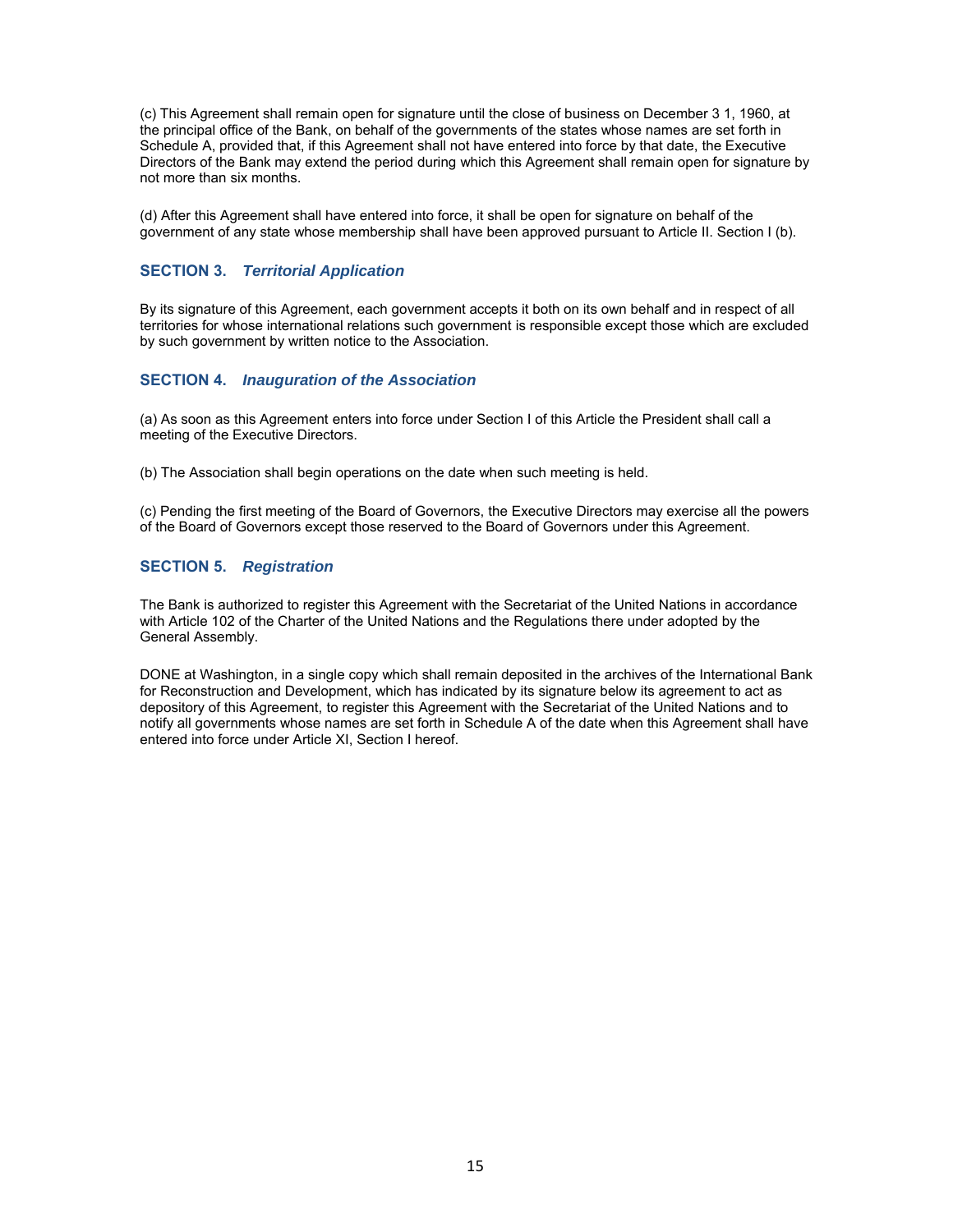(c) This Agreement shall remain open for signature until the close of business on December 3 1, 1960, at the principal office of the Bank, on behalf of the governments of the states whose names are set forth in Schedule A, provided that, if this Agreement shall not have entered into force by that date, the Executive Directors of the Bank may extend the period during which this Agreement shall remain open for signature by not more than six months.

(d) After this Agreement shall have entered into force, it shall be open for signature on behalf of the government of any state whose membership shall have been approved pursuant to Article II. Section I (b).

# **SECTION 3.** *Territorial Application*

By its signature of this Agreement, each government accepts it both on its own behalf and in respect of all territories for whose international relations such government is responsible except those which are excluded by such government by written notice to the Association.

#### **SECTION 4.** *Inauguration of the Association*

(a) As soon as this Agreement enters into force under Section I of this Article the President shall call a meeting of the Executive Directors.

(b) The Association shall begin operations on the date when such meeting is held.

(c) Pending the first meeting of the Board of Governors, the Executive Directors may exercise all the powers of the Board of Governors except those reserved to the Board of Governors under this Agreement.

## **SECTION 5.** *Registration*

The Bank is authorized to register this Agreement with the Secretariat of the United Nations in accordance with Article 102 of the Charter of the United Nations and the Regulations there under adopted by the General Assembly.

DONE at Washington, in a single copy which shall remain deposited in the archives of the International Bank for Reconstruction and Development, which has indicated by its signature below its agreement to act as depository of this Agreement, to register this Agreement with the Secretariat of the United Nations and to notify all governments whose names are set forth in Schedule A of the date when this Agreement shall have entered into force under Article XI, Section I hereof.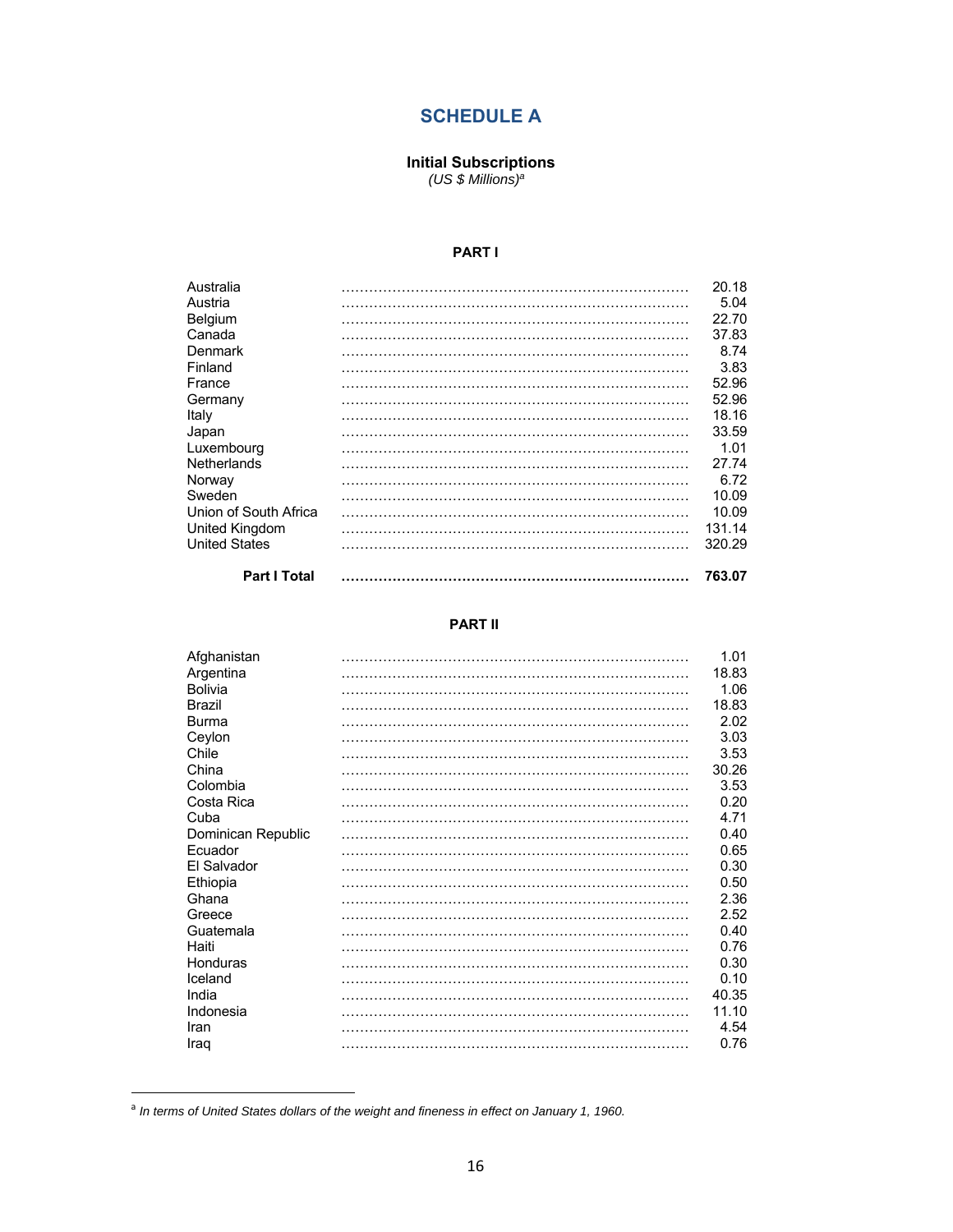# **SCHEDULE A**

# **Initial Subscriptions**

 *(US \$ Millions)a*

# **PART I**

| <b>Part I Total</b>   | 763.07 |
|-----------------------|--------|
| <b>United States</b>  | 320.29 |
| United Kingdom        | 131.14 |
| Union of South Africa | 10.09  |
| Sweden                | 10.09  |
| Norway                | 6.72   |
| <b>Netherlands</b>    | 27.74  |
| Luxembourg            | 1.01   |
| Japan                 | 33.59  |
| Italy                 | 18.16  |
| Germany               | 52.96  |
| France                | 52.96  |
| Finland               | 3.83   |
| Denmark               | 8.74   |
| Canada                | 37.83  |
| Belgium               | 22.70  |
| Austria               | 5.04   |
| Australia             | 20.18  |

# **PART II**

| Afghanistan        | 1.01  |
|--------------------|-------|
| Argentina          | 18.83 |
| <b>Bolivia</b>     | 1.06  |
| <b>Brazil</b>      | 18.83 |
| <b>Burma</b>       | 2.02  |
| Ceylon             | 3.03  |
| Chile              | 3.53  |
| China              | 30.26 |
| Colombia           | 3.53  |
| Costa Rica         | 0.20  |
| Cuba               | 4.71  |
| Dominican Republic | 0.40  |
| Ecuador            | 0.65  |
| El Salvador        | 0.30  |
| Ethiopia           | 0.50  |
| Ghana              | 2.36  |
| Greece             | 2.52  |
| Guatemala          | 0.40  |
| Haiti              | 0.76  |
| Honduras           | 0.30  |
| Iceland            | 0.10  |
| India              | 40.35 |
| Indonesia          | 11.10 |
| Iran               | 4.54  |
| Iraq               | 0.76  |
|                    |       |

<sup>&</sup>lt;sup>a</sup> In terms of United States dollars of the weight and fineness in effect on January 1, 1960.